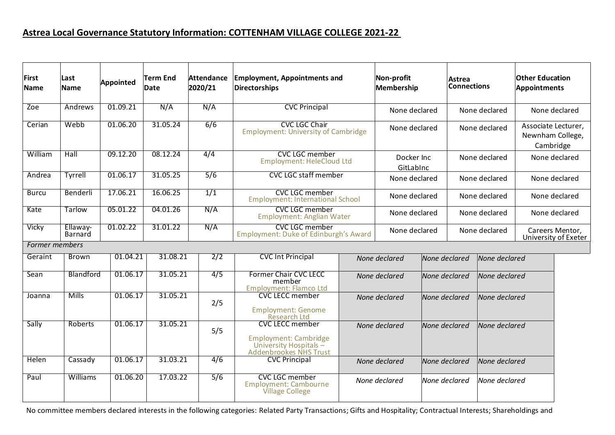## **Astrea Local Governance Statutory Information: COTTENHAM VILLAGE COLLEGE 2021-22**

| First<br><b>Name</b>  | Last<br>Name               | <b>Appointed</b> | <b>Term End</b><br><b>Date</b> | <b>Attendance</b><br>2020/21 | <b>Employment, Appointments and</b><br><b>Directorships</b>                                                  |                         | Non-profit<br>Membership |               | Astrea<br><b>Connections</b>   |               | <b>Other Education</b><br>Appointments               |  |
|-----------------------|----------------------------|------------------|--------------------------------|------------------------------|--------------------------------------------------------------------------------------------------------------|-------------------------|--------------------------|---------------|--------------------------------|---------------|------------------------------------------------------|--|
| Zoe                   | Andrews                    | 01.09.21         | N/A                            | N/A                          | <b>CVC Principal</b>                                                                                         |                         | None declared            |               | None declared                  |               | None declared                                        |  |
| Cerian                | Webb                       | 01.06.20         | 31.05.24                       | 6/6                          | <b>CVC LGC Chair</b><br><b>Employment: University of Cambridge</b>                                           | None declared           |                          |               | None declared                  |               | Associate Lecturer,<br>Newnham College,<br>Cambridge |  |
| William               | Hall                       | 09.12.20         | 08.12.24                       | 4/4                          | <b>CVC LGC member</b><br><b>Employment: HeleCloud Ltd</b>                                                    | Docker Inc<br>GitLabInc |                          |               | None declared                  |               | None declared                                        |  |
| Andrea                | Tyrrell                    | 01.06.17         | 31.05.25                       | 5/6                          | <b>CVC LGC staff member</b>                                                                                  | None declared           |                          |               | None declared                  |               | None declared                                        |  |
| <b>Burcu</b>          | Benderli                   | 17.06.21         | 16.06.25                       | 1/1                          | <b>CVC LGC member</b><br><b>Employment: International School</b>                                             | None declared           |                          |               | None declared                  |               | None declared                                        |  |
| Kate                  | Tarlow                     | 05.01.22         | 04.01.26                       | N/A                          | <b>CVC LGC member</b><br><b>Employment: Anglian Water</b>                                                    | None declared           |                          |               | None declared                  |               | None declared                                        |  |
| Vicky                 | Ellaway-<br><b>Barnard</b> | 01.02.22         | 31.01.22                       | N/A                          | <b>CVC LGC member</b><br><b>Employment: Duke of Edinburgh's Award</b>                                        | None declared           |                          |               | None declared                  |               | Careers Mentor,<br>University of Exeter              |  |
| <b>Former members</b> |                            |                  |                                |                              |                                                                                                              |                         |                          |               |                                |               |                                                      |  |
| Geraint               | <b>Brown</b>               | 01.04.21         | 31.08.21                       | 2/2                          | <b>CVC Int Principal</b>                                                                                     |                         | None declared            |               | None declared                  | None declared |                                                      |  |
| Sean                  | Blandford                  | 01.06.17         | 31.05.21                       | 4/5                          | <b>Former Chair CVC LECC</b><br>member<br><b>Employment: Flamco Ltd</b>                                      |                         | None declared            |               | None declared                  | None declared |                                                      |  |
| Joanna                | <b>Mills</b>               | 01.06.17         | 31.05.21                       | 2/5                          | <b>CVC LECC member</b><br><b>Employment: Genome</b><br>Research Ltd                                          |                         | None declared            |               | None declared                  |               | None declared                                        |  |
| Sally                 | <b>Roberts</b>             | 01.06.17         | 31.05.21                       | 5/5                          | <b>CVC LECC member</b><br><b>Employment: Cambridge</b><br>University Hospitals $-$<br>Addenbrookes NHS Trust | None declared           |                          | None declared |                                | None declared |                                                      |  |
| Helen                 | Cassady                    | 01.06.17         | 31.03.21                       | 4/6                          | <b>CVC Principal</b>                                                                                         | None declared           |                          |               | None declared<br>None declared |               |                                                      |  |
| Paul                  | Williams                   | 01.06.20         | 17.03.22                       | 5/6                          | <b>CVC LGC member</b><br><b>Employment: Cambourne</b><br><b>Village College</b>                              |                         | None declared            | None declared |                                | None declared |                                                      |  |

No committee members declared interests in the following categories: Related Party Transactions; Gifts and Hospitality; Contractual Interests; Shareholdings and